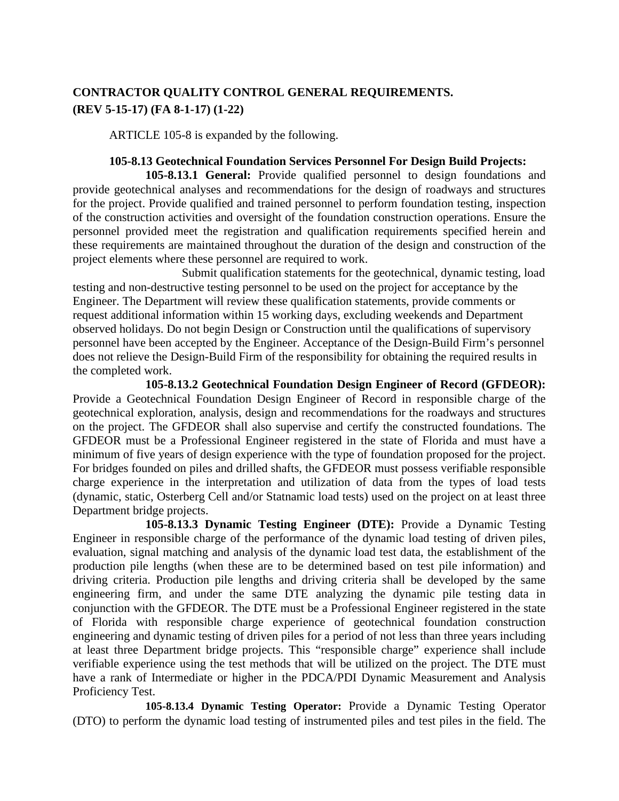## **CONTRACTOR QUALITY CONTROL GENERAL REQUIREMENTS. (REV 5-15-17) (FA 8-1-17) (1-22)**

ARTICLE 105-8 is expanded by the following.

## **105-8.13 Geotechnical Foundation Services Personnel For Design Build Projects:**

**105-8.13.1 General:** Provide qualified personnel to design foundations and provide geotechnical analyses and recommendations for the design of roadways and structures for the project. Provide qualified and trained personnel to perform foundation testing, inspection of the construction activities and oversight of the foundation construction operations. Ensure the personnel provided meet the registration and qualification requirements specified herein and these requirements are maintained throughout the duration of the design and construction of the project elements where these personnel are required to work.

Submit qualification statements for the geotechnical, dynamic testing, load testing and non-destructive testing personnel to be used on the project for acceptance by the Engineer. The Department will review these qualification statements, provide comments or request additional information within 15 working days, excluding weekends and Department observed holidays. Do not begin Design or Construction until the qualifications of supervisory personnel have been accepted by the Engineer. Acceptance of the Design-Build Firm's personnel does not relieve the Design-Build Firm of the responsibility for obtaining the required results in the completed work.

**105-8.13.2 Geotechnical Foundation Design Engineer of Record (GFDEOR):** Provide a Geotechnical Foundation Design Engineer of Record in responsible charge of the geotechnical exploration, analysis, design and recommendations for the roadways and structures on the project. The GFDEOR shall also supervise and certify the constructed foundations. The GFDEOR must be a Professional Engineer registered in the state of Florida and must have a minimum of five years of design experience with the type of foundation proposed for the project. For bridges founded on piles and drilled shafts, the GFDEOR must possess verifiable responsible charge experience in the interpretation and utilization of data from the types of load tests (dynamic, static, Osterberg Cell and/or Statnamic load tests) used on the project on at least three Department bridge projects.

**105-8.13.3 Dynamic Testing Engineer (DTE):** Provide a Dynamic Testing Engineer in responsible charge of the performance of the dynamic load testing of driven piles, evaluation, signal matching and analysis of the dynamic load test data, the establishment of the production pile lengths (when these are to be determined based on test pile information) and driving criteria. Production pile lengths and driving criteria shall be developed by the same engineering firm, and under the same DTE analyzing the dynamic pile testing data in conjunction with the GFDEOR. The DTE must be a Professional Engineer registered in the state of Florida with responsible charge experience of geotechnical foundation construction engineering and dynamic testing of driven piles for a period of not less than three years including at least three Department bridge projects. This "responsible charge" experience shall include verifiable experience using the test methods that will be utilized on the project. The DTE must have a rank of Intermediate or higher in the PDCA/PDI Dynamic Measurement and Analysis Proficiency Test.

**105-8.13.4 Dynamic Testing Operator:** Provide a Dynamic Testing Operator (DTO) to perform the dynamic load testing of instrumented piles and test piles in the field. The